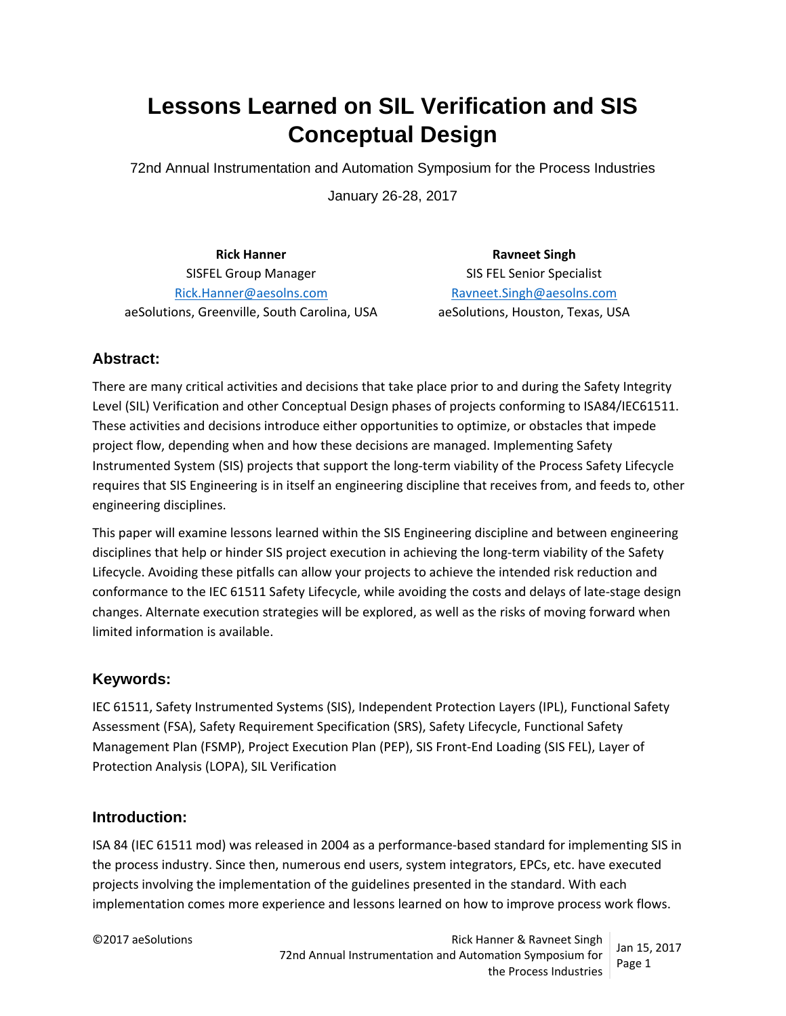# **Lessons Learned on SIL Verification and SIS Conceptual Design**

72nd Annual Instrumentation and Automation Symposium for the Process Industries

January 26‐28, 2017

**Rick Hanner Ravneet Singh** SISFEL Group Manager SIS FEL Senior Specialist Rick.Hanner@aesolns.com Ravneet.Singh@aesolns.com aeSolutions, Greenville, South Carolina, USA aeSolutions, Houston, Texas, USA

## **Abstract:**

There are many critical activities and decisions that take place prior to and during the Safety Integrity Level (SIL) Verification and other Conceptual Design phases of projects conforming to ISA84/IEC61511. These activities and decisions introduce either opportunities to optimize, or obstacles that impede project flow, depending when and how these decisions are managed. Implementing Safety Instrumented System (SIS) projects that support the long‐term viability of the Process Safety Lifecycle requires that SIS Engineering is in itself an engineering discipline that receives from, and feeds to, other engineering disciplines.

This paper will examine lessons learned within the SIS Engineering discipline and between engineering disciplines that help or hinder SIS project execution in achieving the long-term viability of the Safety Lifecycle. Avoiding these pitfalls can allow your projects to achieve the intended risk reduction and conformance to the IEC 61511 Safety Lifecycle, while avoiding the costs and delays of late-stage design changes. Alternate execution strategies will be explored, as well as the risks of moving forward when limited information is available.

### **Keywords:**

IEC 61511, Safety Instrumented Systems (SIS), Independent Protection Layers (IPL), Functional Safety Assessment (FSA), Safety Requirement Specification (SRS), Safety Lifecycle, Functional Safety Management Plan (FSMP), Project Execution Plan (PEP), SIS Front‐End Loading (SIS FEL), Layer of Protection Analysis (LOPA), SIL Verification

### **Introduction:**

ISA 84 (IEC 61511 mod) was released in 2004 as a performance‐based standard for implementing SIS in the process industry. Since then, numerous end users, system integrators, EPCs, etc. have executed projects involving the implementation of the guidelines presented in the standard. With each implementation comes more experience and lessons learned on how to improve process work flows.

©2017 aeSolutions Rick Hanner & Ravneet Singh 72nd Annual Instrumentation and Automation Symposium for the Process Industries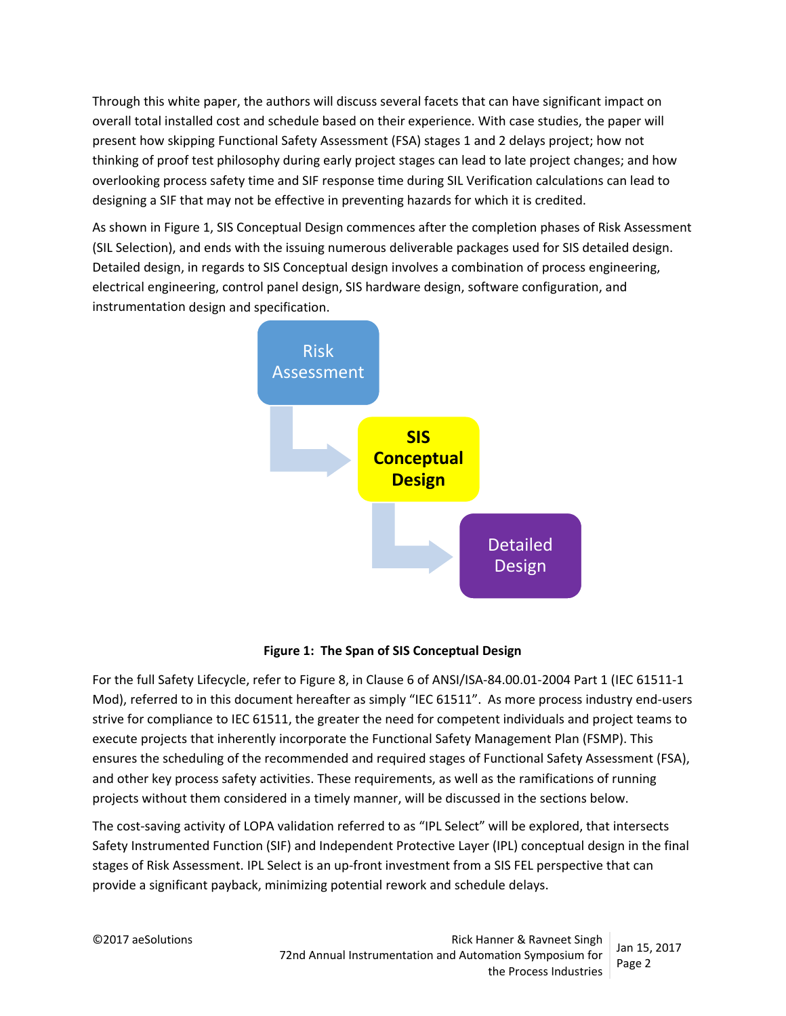Through this white paper, the authors will discuss several facets that can have significant impact on overall total installed cost and schedule based on their experience. With case studies, the paper will present how skipping Functional Safety Assessment (FSA) stages 1 and 2 delays project; how not thinking of proof test philosophy during early project stages can lead to late project changes; and how overlooking process safety time and SIF response time during SIL Verification calculations can lead to designing a SIF that may not be effective in preventing hazards for which it is credited.

As shown in Figure 1, SIS Conceptual Design commences after the completion phases of Risk Assessment (SIL Selection), and ends with the issuing numerous deliverable packages used for SIS detailed design. Detailed design, in regards to SIS Conceptual design involves a combination of process engineering, electrical engineering, control panel design, SIS hardware design, software configuration, and instrumentation design and specification.





For the full Safety Lifecycle, refer to Figure 8, in Clause 6 of ANSI/ISA‐84.00.01‐2004 Part 1 (IEC 61511‐1 Mod), referred to in this document hereafter as simply "IEC 61511". As more process industry end-users strive for compliance to IEC 61511, the greater the need for competent individuals and project teams to execute projects that inherently incorporate the Functional Safety Management Plan (FSMP). This ensures the scheduling of the recommended and required stages of Functional Safety Assessment (FSA), and other key process safety activities. These requirements, as well as the ramifications of running projects without them considered in a timely manner, will be discussed in the sections below.

The cost-saving activity of LOPA validation referred to as "IPL Select" will be explored, that intersects Safety Instrumented Function (SIF) and Independent Protective Layer (IPL) conceptual design in the final stages of Risk Assessment. IPL Select is an up-front investment from a SIS FEL perspective that can provide a significant payback, minimizing potential rework and schedule delays.

©2017 aeSolutions Rick Hanner & Ravneet Singh 72nd Annual Instrumentation and Automation Symposium for the Process Industries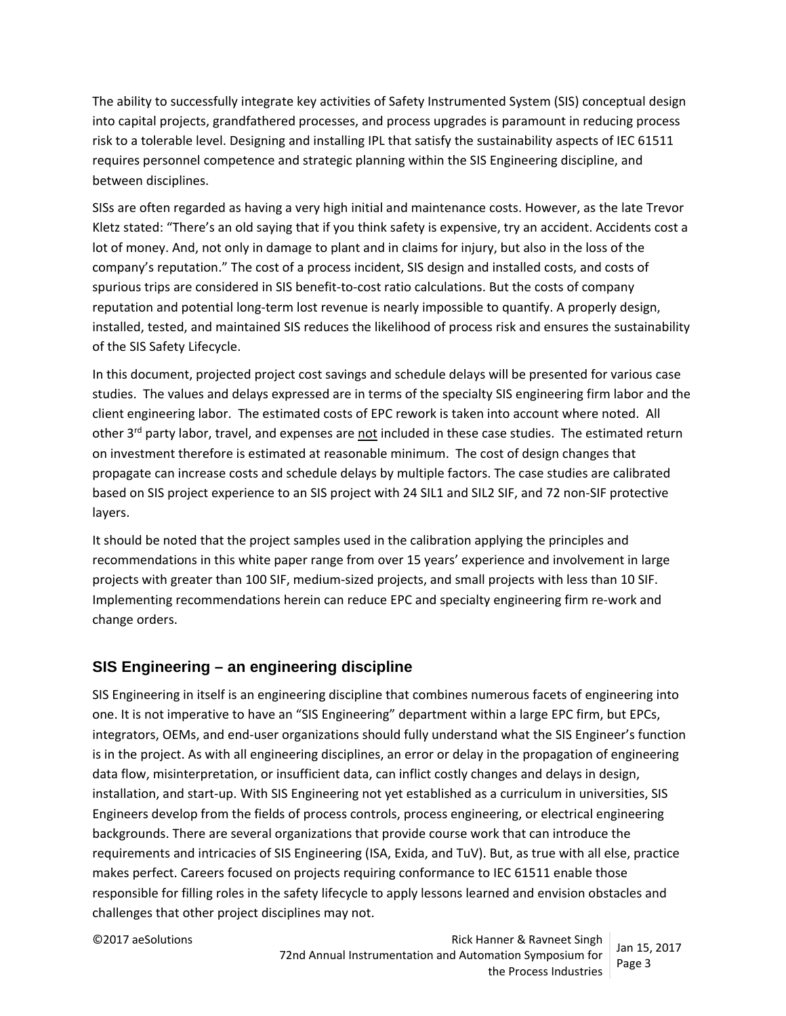The ability to successfully integrate key activities of Safety Instrumented System (SIS) conceptual design into capital projects, grandfathered processes, and process upgrades is paramount in reducing process risk to a tolerable level. Designing and installing IPL that satisfy the sustainability aspects of IEC 61511 requires personnel competence and strategic planning within the SIS Engineering discipline, and between disciplines.

SISs are often regarded as having a very high initial and maintenance costs. However, as the late Trevor Kletz stated: "There's an old saying that if you think safety is expensive, try an accident. Accidents cost a lot of money. And, not only in damage to plant and in claims for injury, but also in the loss of the company's reputation." The cost of a process incident, SIS design and installed costs, and costs of spurious trips are considered in SIS benefit-to-cost ratio calculations. But the costs of company reputation and potential long‐term lost revenue is nearly impossible to quantify. A properly design, installed, tested, and maintained SIS reduces the likelihood of process risk and ensures the sustainability of the SIS Safety Lifecycle.

In this document, projected project cost savings and schedule delays will be presented for various case studies. The values and delays expressed are in terms of the specialty SIS engineering firm labor and the client engineering labor. The estimated costs of EPC rework is taken into account where noted. All other 3<sup>rd</sup> party labor, travel, and expenses are not included in these case studies. The estimated return on investment therefore is estimated at reasonable minimum. The cost of design changes that propagate can increase costs and schedule delays by multiple factors. The case studies are calibrated based on SIS project experience to an SIS project with 24 SIL1 and SIL2 SIF, and 72 non‐SIF protective layers.

It should be noted that the project samples used in the calibration applying the principles and recommendations in this white paper range from over 15 years' experience and involvement in large projects with greater than 100 SIF, medium‐sized projects, and small projects with less than 10 SIF. Implementing recommendations herein can reduce EPC and specialty engineering firm re‐work and change orders.

### **SIS Engineering – an engineering discipline**

SIS Engineering in itself is an engineering discipline that combines numerous facets of engineering into one. It is not imperative to have an "SIS Engineering" department within a large EPC firm, but EPCs, integrators, OEMs, and end‐user organizations should fully understand what the SIS Engineer's function is in the project. As with all engineering disciplines, an error or delay in the propagation of engineering data flow, misinterpretation, or insufficient data, can inflict costly changes and delays in design, installation, and start‐up. With SIS Engineering not yet established as a curriculum in universities, SIS Engineers develop from the fields of process controls, process engineering, or electrical engineering backgrounds. There are several organizations that provide course work that can introduce the requirements and intricacies of SIS Engineering (ISA, Exida, and TuV). But, as true with all else, practice makes perfect. Careers focused on projects requiring conformance to IEC 61511 enable those responsible for filling roles in the safety lifecycle to apply lessons learned and envision obstacles and challenges that other project disciplines may not.

©2017 aeSolutions **Rick Hanner & Ravneet Singh** Rick Hanner & Ravneet Singh 72nd Annual Instrumentation and Automation Symposium for the Process Industries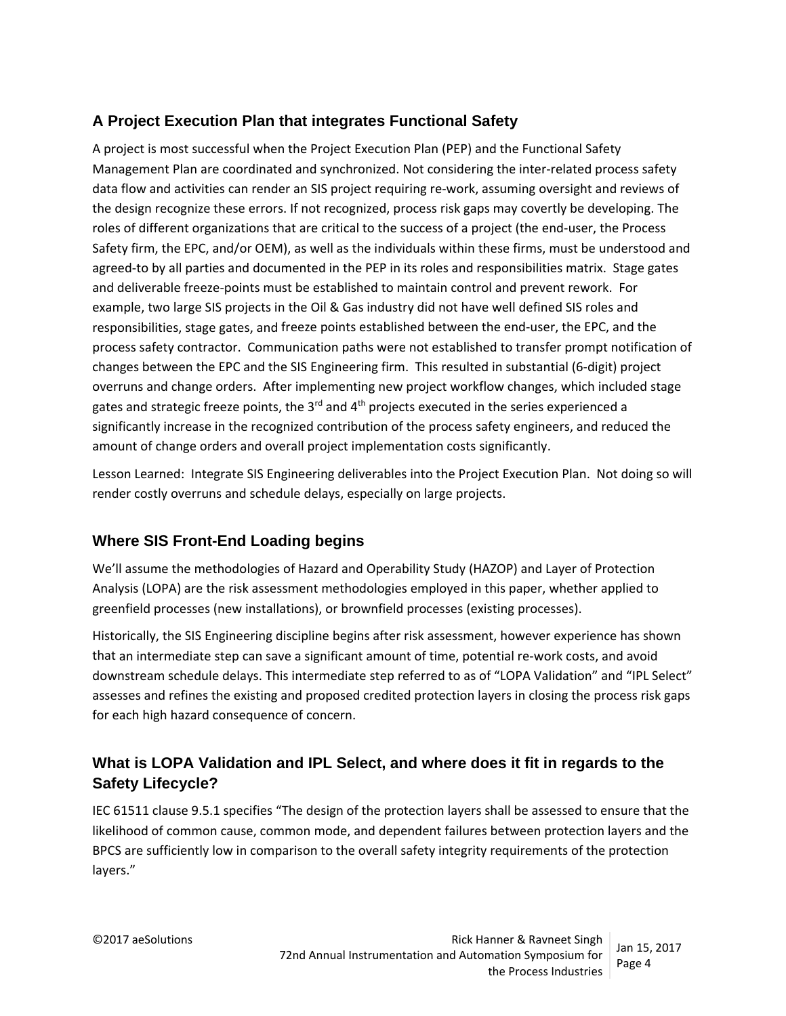## **A Project Execution Plan that integrates Functional Safety**

A project is most successful when the Project Execution Plan (PEP) and the Functional Safety Management Plan are coordinated and synchronized. Not considering the inter‐related process safety data flow and activities can render an SIS project requiring re‐work, assuming oversight and reviews of the design recognize these errors. If not recognized, process risk gaps may covertly be developing. The roles of different organizations that are critical to the success of a project (the end‐user, the Process Safety firm, the EPC, and/or OEM), as well as the individuals within these firms, must be understood and agreed-to by all parties and documented in the PEP in its roles and responsibilities matrix. Stage gates and deliverable freeze‐points must be established to maintain control and prevent rework. For example, two large SIS projects in the Oil & Gas industry did not have well defined SIS roles and responsibilities, stage gates, and freeze points established between the end‐user, the EPC, and the process safety contractor. Communication paths were not established to transfer prompt notification of changes between the EPC and the SIS Engineering firm. This resulted in substantial (6‐digit) project overruns and change orders. After implementing new project workflow changes, which included stage gates and strategic freeze points, the  $3<sup>rd</sup>$  and  $4<sup>th</sup>$  projects executed in the series experienced a significantly increase in the recognized contribution of the process safety engineers, and reduced the amount of change orders and overall project implementation costs significantly.

Lesson Learned: Integrate SIS Engineering deliverables into the Project Execution Plan. Not doing so will render costly overruns and schedule delays, especially on large projects.

## **Where SIS Front-End Loading begins**

We'll assume the methodologies of Hazard and Operability Study (HAZOP) and Layer of Protection Analysis (LOPA) are the risk assessment methodologies employed in this paper, whether applied to greenfield processes (new installations), or brownfield processes (existing processes).

Historically, the SIS Engineering discipline begins after risk assessment, however experience has shown that an intermediate step can save a significant amount of time, potential re-work costs, and avoid downstream schedule delays. This intermediate step referred to as of "LOPA Validation" and "IPL Select" assesses and refines the existing and proposed credited protection layers in closing the process risk gaps for each high hazard consequence of concern.

## **What is LOPA Validation and IPL Select, and where does it fit in regards to the Safety Lifecycle?**

IEC 61511 clause 9.5.1 specifies "The design of the protection layers shall be assessed to ensure that the likelihood of common cause, common mode, and dependent failures between protection layers and the BPCS are sufficiently low in comparison to the overall safety integrity requirements of the protection layers."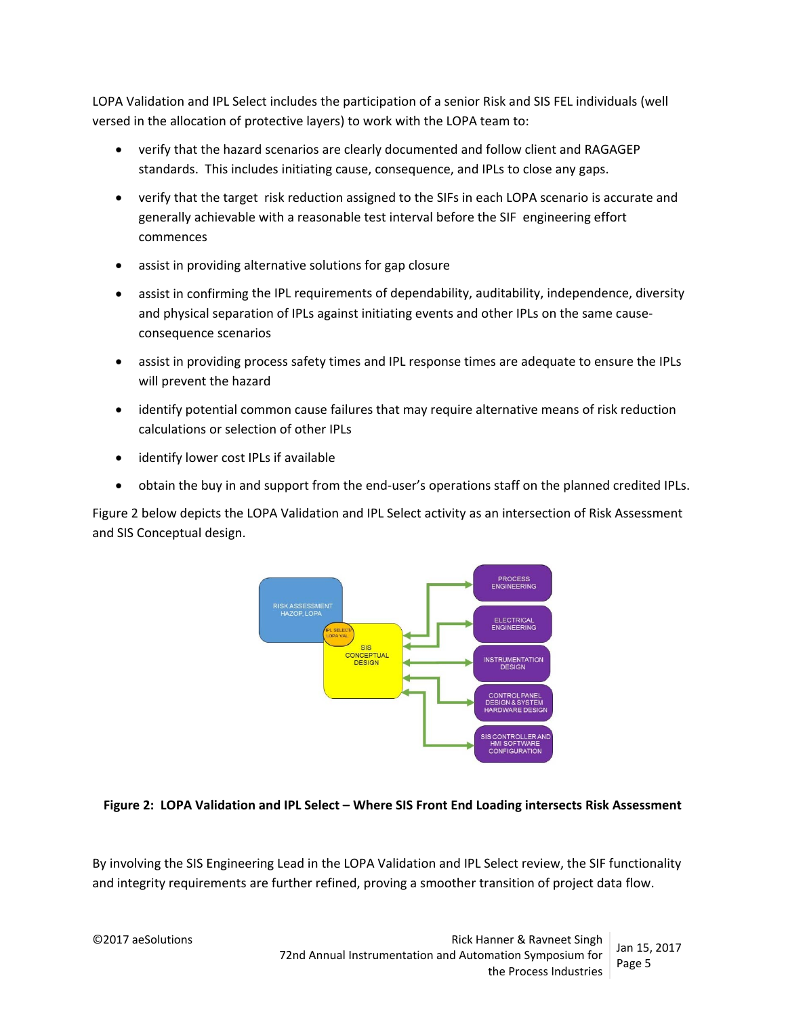LOPA Validation and IPL Select includes the participation of a senior Risk and SIS FEL individuals (well versed in the allocation of protective layers) to work with the LOPA team to:

- verify that the hazard scenarios are clearly documented and follow client and RAGAGEP standards. This includes initiating cause, consequence, and IPLs to close any gaps.
- verify that the target risk reduction assigned to the SIFs in each LOPA scenario is accurate and generally achievable with a reasonable test interval before the SIF engineering effort commences
- assist in providing alternative solutions for gap closure
- assist in confirming the IPL requirements of dependability, auditability, independence, diversity and physical separation of IPLs against initiating events and other IPLs on the same cause‐ consequence scenarios
- assist in providing process safety times and IPL response times are adequate to ensure the IPLs will prevent the hazard
- identify potential common cause failures that may require alternative means of risk reduction calculations or selection of other IPLs
- identify lower cost IPLs if available
- obtain the buy in and support from the end-user's operations staff on the planned credited IPLs.

Figure 2 below depicts the LOPA Validation and IPL Select activity as an intersection of Risk Assessment and SIS Conceptual design.



#### **Figure 2: LOPA Validation and IPL Select – Where SIS Front End Loading intersects Risk Assessment**

By involving the SIS Engineering Lead in the LOPA Validation and IPL Select review, the SIF functionality and integrity requirements are further refined, proving a smoother transition of project data flow.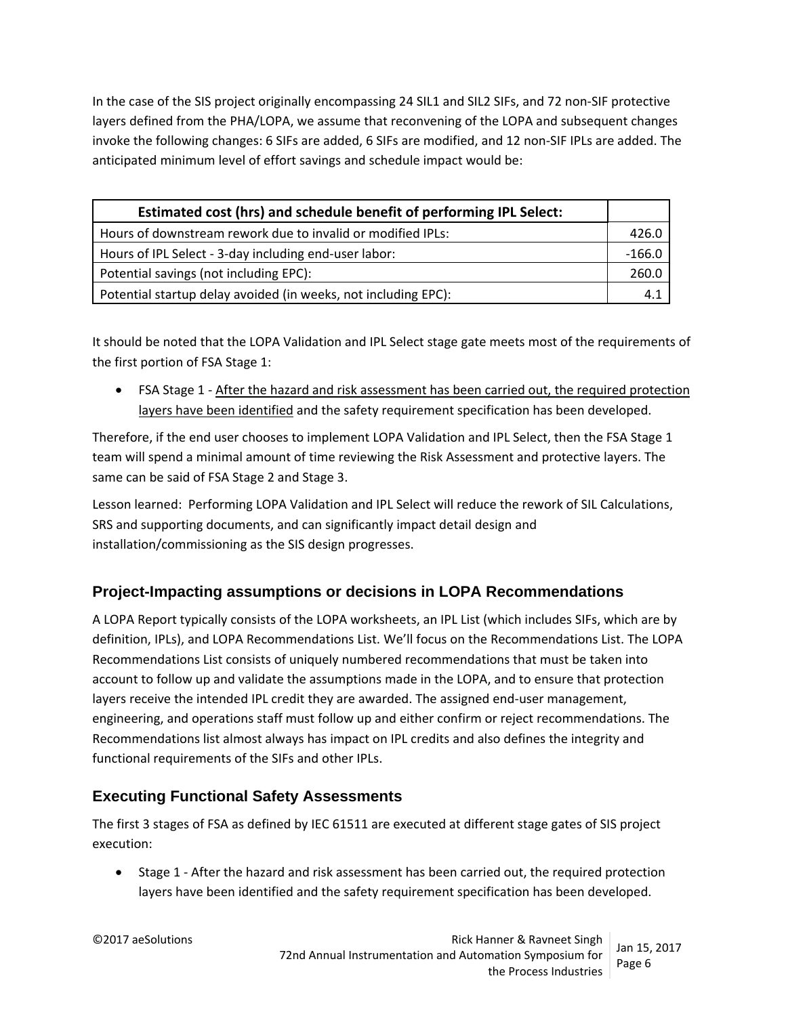In the case of the SIS project originally encompassing 24 SIL1 and SIL2 SIFs, and 72 non-SIF protective layers defined from the PHA/LOPA, we assume that reconvening of the LOPA and subsequent changes invoke the following changes: 6 SIFs are added, 6 SIFs are modified, and 12 non‐SIF IPLs are added. The anticipated minimum level of effort savings and schedule impact would be:

| Estimated cost (hrs) and schedule benefit of performing IPL Select: |          |
|---------------------------------------------------------------------|----------|
| Hours of downstream rework due to invalid or modified IPLs:         | 426.0    |
| Hours of IPL Select - 3-day including end-user labor:               | $-166.0$ |
| Potential savings (not including EPC):                              | 260.0    |
| Potential startup delay avoided (in weeks, not including EPC):      | 4.1      |

It should be noted that the LOPA Validation and IPL Select stage gate meets most of the requirements of the first portion of FSA Stage 1:

● FSA Stage 1 - After the hazard and risk assessment has been carried out, the required protection layers have been identified and the safety requirement specification has been developed.

Therefore, if the end user chooses to implement LOPA Validation and IPL Select, then the FSA Stage 1 team will spend a minimal amount of time reviewing the Risk Assessment and protective layers. The same can be said of FSA Stage 2 and Stage 3.

Lesson learned: Performing LOPA Validation and IPL Select will reduce the rework of SIL Calculations, SRS and supporting documents, and can significantly impact detail design and installation/commissioning as the SIS design progresses.

## **Project-Impacting assumptions or decisions in LOPA Recommendations**

A LOPA Report typically consists of the LOPA worksheets, an IPL List (which includes SIFs, which are by definition, IPLs), and LOPA Recommendations List. We'll focus on the Recommendations List. The LOPA Recommendations List consists of uniquely numbered recommendations that must be taken into account to follow up and validate the assumptions made in the LOPA, and to ensure that protection layers receive the intended IPL credit they are awarded. The assigned end-user management, engineering, and operations staff must follow up and either confirm or reject recommendations. The Recommendations list almost always has impact on IPL credits and also defines the integrity and functional requirements of the SIFs and other IPLs.

## **Executing Functional Safety Assessments**

The first 3 stages of FSA as defined by IEC 61511 are executed at different stage gates of SIS project execution:

● Stage 1 - After the hazard and risk assessment has been carried out, the required protection layers have been identified and the safety requirement specification has been developed.

©2017 aeSolutions **Rick Hanner & Ravneet Singh** Rick Hanner & Ravneet Singh 72nd Annual Instrumentation and Automation Symposium for the Process Industries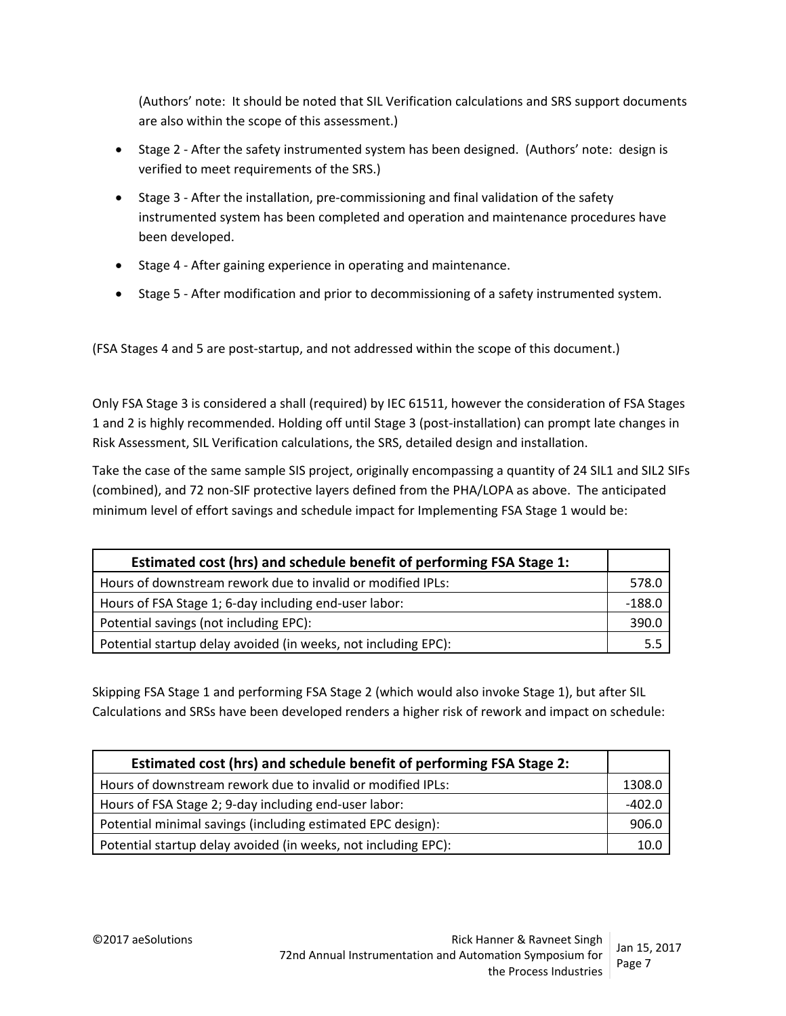(Authors' note: It should be noted that SIL Verification calculations and SRS support documents are also within the scope of this assessment.)

- Stage 2 After the safety instrumented system has been designed. (Authors' note: design is verified to meet requirements of the SRS.)
- Stage 3 After the installation, pre-commissioning and final validation of the safety instrumented system has been completed and operation and maintenance procedures have been developed.
- Stage 4 After gaining experience in operating and maintenance.
- Stage 5 After modification and prior to decommissioning of a safety instrumented system.

(FSA Stages 4 and 5 are post‐startup, and not addressed within the scope of this document.)

Only FSA Stage 3 is considered a shall (required) by IEC 61511, however the consideration of FSA Stages 1 and 2 is highly recommended. Holding off until Stage 3 (post‐installation) can prompt late changes in Risk Assessment, SIL Verification calculations, the SRS, detailed design and installation.

Take the case of the same sample SIS project, originally encompassing a quantity of 24 SIL1 and SIL2 SIFs (combined), and 72 non‐SIF protective layers defined from the PHA/LOPA as above. The anticipated minimum level of effort savings and schedule impact for Implementing FSA Stage 1 would be:

| Estimated cost (hrs) and schedule benefit of performing FSA Stage 1: |          |
|----------------------------------------------------------------------|----------|
| Hours of downstream rework due to invalid or modified IPLs:          | 578.0    |
| Hours of FSA Stage 1; 6-day including end-user labor:                | $-188.0$ |
| Potential savings (not including EPC):                               | 390.0    |
| Potential startup delay avoided (in weeks, not including EPC):       | 5.5      |

Skipping FSA Stage 1 and performing FSA Stage 2 (which would also invoke Stage 1), but after SIL Calculations and SRSs have been developed renders a higher risk of rework and impact on schedule:

| Estimated cost (hrs) and schedule benefit of performing FSA Stage 2: |          |
|----------------------------------------------------------------------|----------|
| Hours of downstream rework due to invalid or modified IPLs:          | 1308.0   |
| Hours of FSA Stage 2; 9-day including end-user labor:                | $-402.0$ |
| Potential minimal savings (including estimated EPC design):          | 906.0    |
| Potential startup delay avoided (in weeks, not including EPC):       | 10.0     |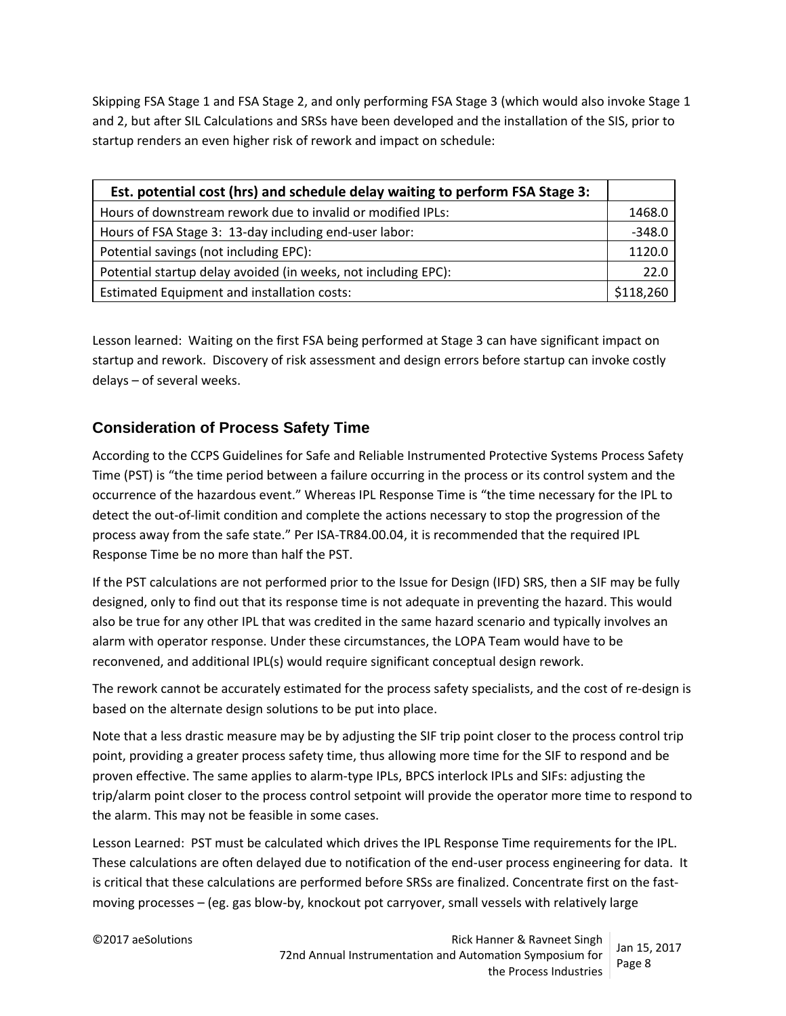Skipping FSA Stage 1 and FSA Stage 2, and only performing FSA Stage 3 (which would also invoke Stage 1 and 2, but after SIL Calculations and SRSs have been developed and the installation of the SIS, prior to startup renders an even higher risk of rework and impact on schedule:

| Est. potential cost (hrs) and schedule delay waiting to perform FSA Stage 3: |           |
|------------------------------------------------------------------------------|-----------|
| Hours of downstream rework due to invalid or modified IPLs:                  | 1468.0    |
| Hours of FSA Stage 3: 13-day including end-user labor:                       | $-348.0$  |
| Potential savings (not including EPC):                                       | 1120.0    |
| Potential startup delay avoided (in weeks, not including EPC):               | 22.0      |
| Estimated Equipment and installation costs:                                  | \$118,260 |

Lesson learned: Waiting on the first FSA being performed at Stage 3 can have significant impact on startup and rework. Discovery of risk assessment and design errors before startup can invoke costly delays – of several weeks.

## **Consideration of Process Safety Time**

According to the CCPS Guidelines for Safe and Reliable Instrumented Protective Systems Process Safety Time (PST) is "the time period between a failure occurring in the process or its control system and the occurrence of the hazardous event." Whereas IPL Response Time is "the time necessary for the IPL to detect the out-of-limit condition and complete the actions necessary to stop the progression of the process away from the safe state." Per ISA‐TR84.00.04, it is recommended that the required IPL Response Time be no more than half the PST.

If the PST calculations are not performed prior to the Issue for Design (IFD) SRS, then a SIF may be fully designed, only to find out that its response time is not adequate in preventing the hazard. This would also be true for any other IPL that was credited in the same hazard scenario and typically involves an alarm with operator response. Under these circumstances, the LOPA Team would have to be reconvened, and additional IPL(s) would require significant conceptual design rework.

The rework cannot be accurately estimated for the process safety specialists, and the cost of re‐design is based on the alternate design solutions to be put into place.

Note that a less drastic measure may be by adjusting the SIF trip point closer to the process control trip point, providing a greater process safety time, thus allowing more time for the SIF to respond and be proven effective. The same applies to alarm‐type IPLs, BPCS interlock IPLs and SIFs: adjusting the trip/alarm point closer to the process control setpoint will provide the operator more time to respond to the alarm. This may not be feasible in some cases.

Lesson Learned: PST must be calculated which drives the IPL Response Time requirements for the IPL. These calculations are often delayed due to notification of the end‐user process engineering for data. It is critical that these calculations are performed before SRSs are finalized. Concentrate first on the fastmoving processes – (eg. gas blow‐by, knockout pot carryover, small vessels with relatively large

©2017 aeSolutions **Rick Hanner & Ravneet Singh** Rick Hanner & Ravneet Singh 72nd Annual Instrumentation and Automation Symposium for the Process Industries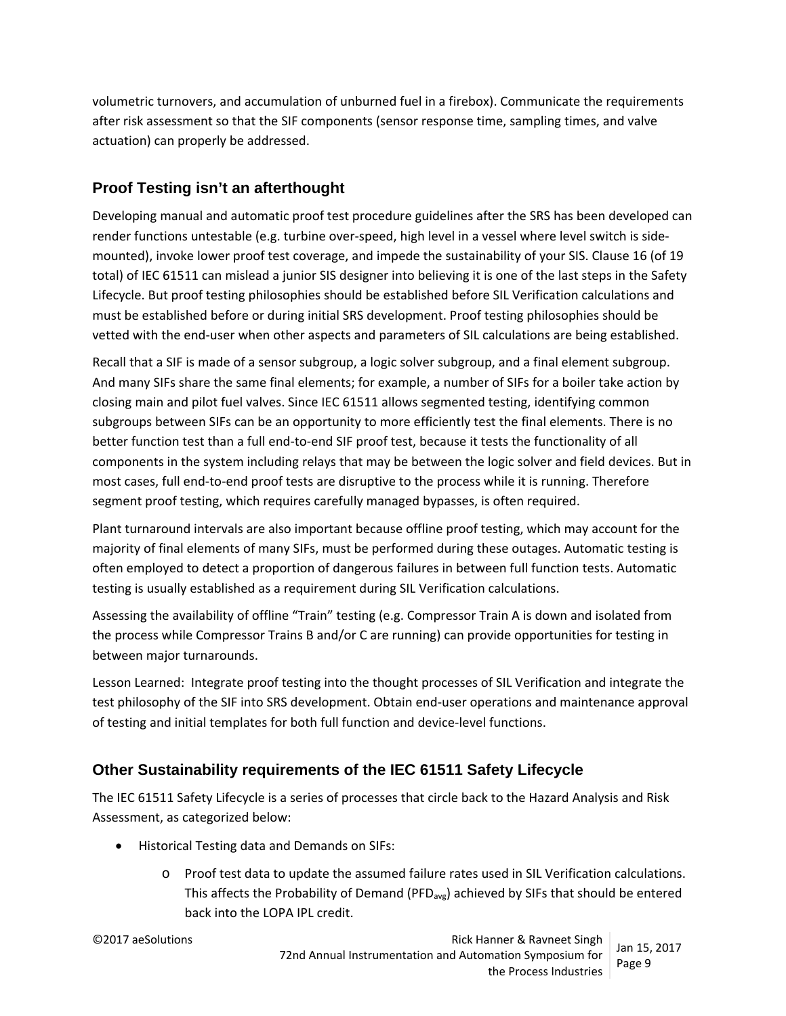volumetric turnovers, and accumulation of unburned fuel in a firebox). Communicate the requirements after risk assessment so that the SIF components (sensor response time, sampling times, and valve actuation) can properly be addressed.

## **Proof Testing isn't an afterthought**

Developing manual and automatic proof test procedure guidelines after the SRS has been developed can render functions untestable (e.g. turbine over-speed, high level in a vessel where level switch is sidemounted), invoke lower proof test coverage, and impede the sustainability of your SIS. Clause 16 (of 19 total) of IEC 61511 can mislead a junior SIS designer into believing it is one of the last steps in the Safety Lifecycle. But proof testing philosophies should be established before SIL Verification calculations and must be established before or during initial SRS development. Proof testing philosophies should be vetted with the end‐user when other aspects and parameters of SIL calculations are being established.

Recall that a SIF is made of a sensor subgroup, a logic solver subgroup, and a final element subgroup. And many SIFs share the same final elements; for example, a number of SIFs for a boiler take action by closing main and pilot fuel valves. Since IEC 61511 allows segmented testing, identifying common subgroups between SIFs can be an opportunity to more efficiently test the final elements. There is no better function test than a full end-to-end SIF proof test, because it tests the functionality of all components in the system including relays that may be between the logic solver and field devices. But in most cases, full end‐to‐end proof tests are disruptive to the process while it is running. Therefore segment proof testing, which requires carefully managed bypasses, is often required.

Plant turnaround intervals are also important because offline proof testing, which may account for the majority of final elements of many SIFs, must be performed during these outages. Automatic testing is often employed to detect a proportion of dangerous failures in between full function tests. Automatic testing is usually established as a requirement during SIL Verification calculations.

Assessing the availability of offline "Train" testing (e.g. Compressor Train A is down and isolated from the process while Compressor Trains B and/or C are running) can provide opportunities for testing in between major turnarounds.

Lesson Learned: Integrate proof testing into the thought processes of SIL Verification and integrate the test philosophy of the SIF into SRS development. Obtain end‐user operations and maintenance approval of testing and initial templates for both full function and device‐level functions.

## **Other Sustainability requirements of the IEC 61511 Safety Lifecycle**

The IEC 61511 Safety Lifecycle is a series of processes that circle back to the Hazard Analysis and Risk Assessment, as categorized below:

- Historical Testing data and Demands on SIFs:
	- o Proof test data to update the assumed failure rates used in SIL Verification calculations. This affects the Probability of Demand (PFD<sub>avg</sub>) achieved by SIFs that should be entered back into the LOPA IPL credit.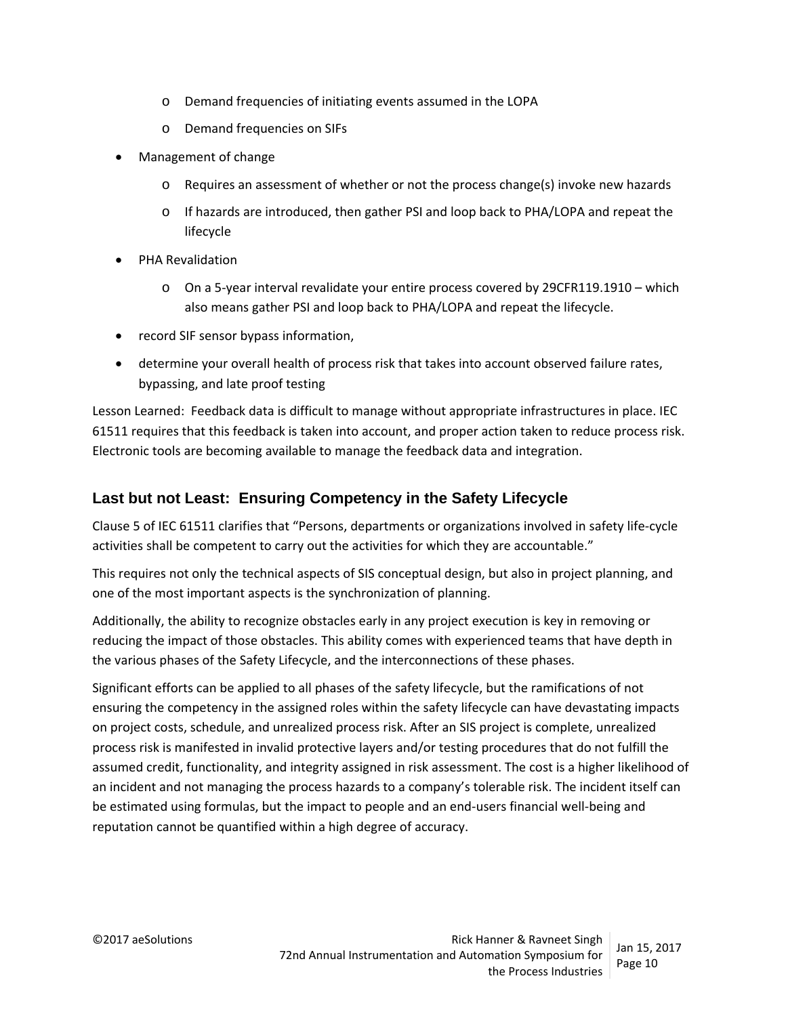- o Demand frequencies of initiating events assumed in the LOPA
- o Demand frequencies on SIFs
- Management of change
	- o Requires an assessment of whether or not the process change(s) invoke new hazards
	- o If hazards are introduced, then gather PSI and loop back to PHA/LOPA and repeat the lifecycle
- PHA Revalidation
	- o On a 5‐year interval revalidate your entire process covered by 29CFR119.1910 which also means gather PSI and loop back to PHA/LOPA and repeat the lifecycle.
- record SIF sensor bypass information,
- determine your overall health of process risk that takes into account observed failure rates, bypassing, and late proof testing

Lesson Learned: Feedback data is difficult to manage without appropriate infrastructures in place. IEC 61511 requires that this feedback is taken into account, and proper action taken to reduce process risk. Electronic tools are becoming available to manage the feedback data and integration.

#### **Last but not Least: Ensuring Competency in the Safety Lifecycle**

Clause 5 of IEC 61511 clarifies that "Persons, departments or organizations involved in safety life‐cycle activities shall be competent to carry out the activities for which they are accountable."

This requires not only the technical aspects of SIS conceptual design, but also in project planning, and one of the most important aspects is the synchronization of planning.

Additionally, the ability to recognize obstacles early in any project execution is key in removing or reducing the impact of those obstacles. This ability comes with experienced teams that have depth in the various phases of the Safety Lifecycle, and the interconnections of these phases.

Significant efforts can be applied to all phases of the safety lifecycle, but the ramifications of not ensuring the competency in the assigned roles within the safety lifecycle can have devastating impacts on project costs, schedule, and unrealized process risk. After an SIS project is complete, unrealized process risk is manifested in invalid protective layers and/or testing procedures that do not fulfill the assumed credit, functionality, and integrity assigned in risk assessment. The cost is a higher likelihood of an incident and not managing the process hazards to a company's tolerable risk. The incident itself can be estimated using formulas, but the impact to people and an end‐users financial well‐being and reputation cannot be quantified within a high degree of accuracy.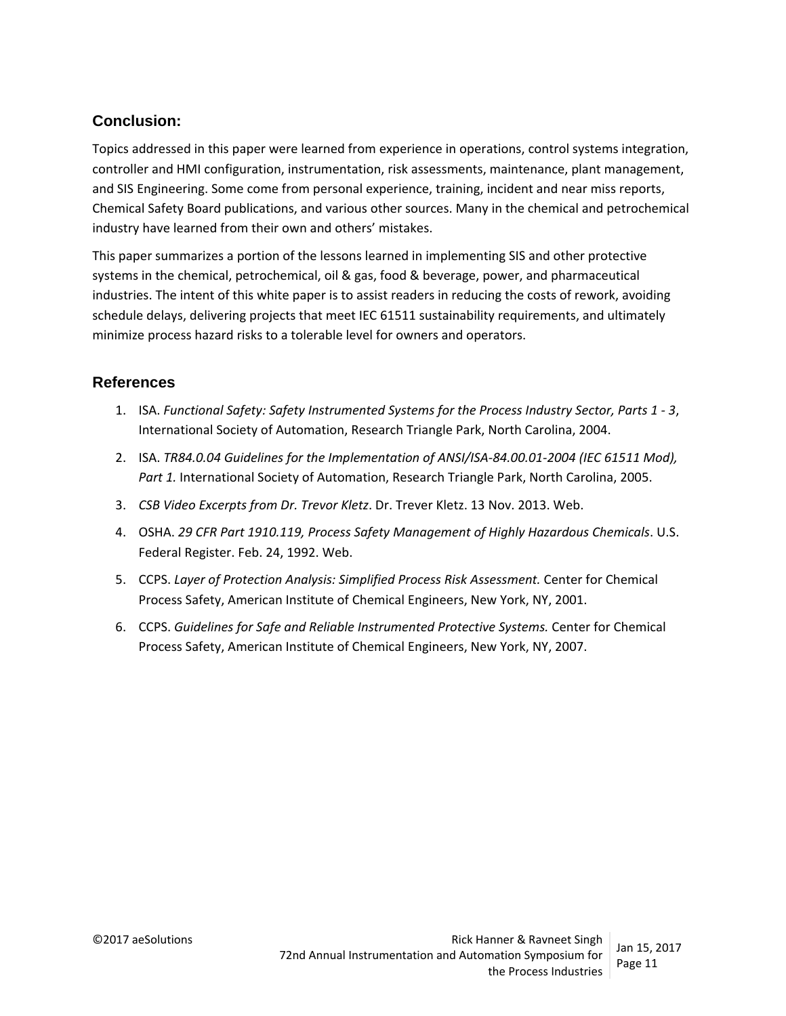### **Conclusion:**

Topics addressed in this paper were learned from experience in operations, control systems integration, controller and HMI configuration, instrumentation, risk assessments, maintenance, plant management, and SIS Engineering. Some come from personal experience, training, incident and near miss reports, Chemical Safety Board publications, and various other sources. Many in the chemical and petrochemical industry have learned from their own and others' mistakes.

This paper summarizes a portion of the lessons learned in implementing SIS and other protective systems in the chemical, petrochemical, oil & gas, food & beverage, power, and pharmaceutical industries. The intent of this white paper is to assist readers in reducing the costs of rework, avoiding schedule delays, delivering projects that meet IEC 61511 sustainability requirements, and ultimately minimize process hazard risks to a tolerable level for owners and operators.

#### **References**

- 1. ISA. *Functional Safety: Safety Instrumented Systems for the Process Industry Sector, Parts 1 ‐ 3*, International Society of Automation, Research Triangle Park, North Carolina, 2004.
- 2. ISA. *TR84.0.04 Guidelines for the Implementation of ANSI/ISA‐84.00.01‐2004 (IEC 61511 Mod), Part 1.* International Society of Automation, Research Triangle Park, North Carolina, 2005.
- 3. *CSB Video Excerpts from Dr. Trevor Kletz*. Dr. Trever Kletz. 13 Nov. 2013. Web.
- 4. OSHA. *29 CFR Part 1910.119, Process Safety Management of Highly Hazardous Chemicals*. U.S. Federal Register. Feb. 24, 1992. Web.
- 5. CCPS. *Layer of Protection Analysis: Simplified Process Risk Assessment.* Center for Chemical Process Safety, American Institute of Chemical Engineers, New York, NY, 2001.
- 6. CCPS. *Guidelines for Safe and Reliable Instrumented Protective Systems.* Center for Chemical Process Safety, American Institute of Chemical Engineers, New York, NY, 2007.